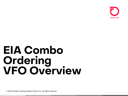

# **EIA Combo** Ordering<br>VFO Overview

© 2022 Frontier Communications Parent, Inc. All rights reserved.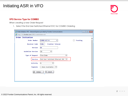## Initiating ASR in VFO



#### **VFO Service Type for COMBO**

When creating a new Order Request

1. Select the End User Switched Ethernet EVC for COMBO Ordering

|                                                  | - -<br>@ Order Initiation VFO - Internet Explorer provided by Frontier Communications | $\begin{array}{c c c c c c} \hline \multicolumn{3}{c }{\mathbf{C}} & \multicolumn{3}{c }{\mathbf{R}} \end{array}$ |  |
|--------------------------------------------------|---------------------------------------------------------------------------------------|-------------------------------------------------------------------------------------------------------------------|--|
| http://vfo.frontier.com:13002/orderInitiation.do |                                                                                       |                                                                                                                   |  |
| Order Initiation                                 |                                                                                       |                                                                                                                   |  |
| Order Number                                     | COMBO-ACT-N<br>×                                                                      | Tracking                                                                                                          |  |
| <b>Receiver Code</b>                             | <b>Frontier Telecom</b><br><b>FV06</b>                                                |                                                                                                                   |  |
| Version                                          | 01                                                                                    |                                                                                                                   |  |
| <b>Guideline Version</b>                         | 58<br>◡                                                                               |                                                                                                                   |  |
| Type of Request                                  | Firm Order<br>$\checkmark$                                                            |                                                                                                                   |  |
| Service                                          | End User Switched Ethernet EVC<br>$\checkmark$                                        |                                                                                                                   |  |
| Activity                                         | N<br>v                                                                                |                                                                                                                   |  |
| Template                                         | --None Available-- V                                                                  |                                                                                                                   |  |
| $\circ$<br>Initiate                              | 见<br>Cancel                                                                           |                                                                                                                   |  |
|                                                  |                                                                                       |                                                                                                                   |  |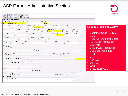#### ASR Form – Administrative Section

|                                                                                                                                                                                                                                                                                |                                                                                                                                                                   |                                                                                                | <b>FRUNTER</b>                                    |
|--------------------------------------------------------------------------------------------------------------------------------------------------------------------------------------------------------------------------------------------------------------------------------|-------------------------------------------------------------------------------------------------------------------------------------------------------------------|------------------------------------------------------------------------------------------------|---------------------------------------------------|
| <b>ASR</b><br><b>NAI</b><br><b>GEN. INFO</b><br><b>SES</b><br><b>EVC</b>                                                                                                                                                                                                       |                                                                                                                                                                   |                                                                                                |                                                   |
| ADMINISTRATIVE [Required]                                                                                                                                                                                                                                                      |                                                                                                                                                                   |                                                                                                |                                                   |
| CCNA PON<br>VER ASRNO<br><b>EIACOMBO-TRNG</b><br>ZTK  <br>$\overline{01}$                                                                                                                                                                                                      | SPA ICSC<br>GT10                                                                                                                                                  |                                                                                                |                                                   |
| CC<br>UNE<br>--Select-- $\boxed{\vee}$ --Select-- $\boxed{\vee}$ CBD                                                                                                                                                                                                           | DDD<br>FDT<br>CBD<br>09/25/2019<br>$\overline{\phantom{a}}$                                                                                                       | PROJECT<br>CCI<br>$-5elect-vert$                                                               | <b>Required Fields on ACT=N</b>                   |
| PPTD<br>CNO <sub>2</sub> and the contract of the contract of the contract of the contract of the contract of the contract of the contract of the contract of the contract of the contract of the contract of the contract of the contract of the<br><b>NOR</b><br><b>Filli</b> | LUP<br><b>BSA</b><br>--Select-- V ED N                                                                                                                            | REQTYP ACT<br>ACTI<br>EU<br>$\boxed{\vee}$ --Select-- $\boxed{\vee}$ --Select-- $\boxed{\vee}$ |                                                   |
| QSA WST<br>LATA EVCI<br>$01 - S^{elect--}$<br>B                                                                                                                                                                                                                                | SEI<br>PVCI<br>$\sqrt{\sqrt{1-\text{Select}-\sqrt{1}}}$<br>$\vee$ Y                                                                                               | SUP<br>AFO<br>NPVC RTR<br><b>Figure</b><br>$ v $ --Select-- $ v $                              | • Customer Code (CCNA)                            |
| QNAI TO EXP<br><b>Contract Contract</b><br>EDA <b>Album</b>                                                                                                                                                                                                                    | ALBR<br>AENG<br>$-$ Select-- $\vert \mathbf{v} \vert$ --Select-- $\vert \mathbf{v} \vert$ --Select-- $\vert \mathbf{v} \vert$ --Select-- $\vert \mathbf{v} \vert$ |                                                                                                | $\cdot$ DDD<br>• REQTYP (Auto Populated)          |
| DATED<br>CUST<br>AGAUTH<br>$-$ -Select-- $\vert \mathbf{v} \vert$<br><b>FOR</b>                                                                                                                                                                                                | LA <b>Santa</b><br>$-Select - \nabla$                                                                                                                             | LADATED<br>LANM<br>E                                                                           | <b>JPR</b><br>• ACT (Auto Populated)              |
| NAG<br>$-$ -Select-- $\vert \mathbf{v} \vert$                                                                                                                                                                                                                                  |                                                                                                                                                                   |                                                                                                | $\cdot$ QSA (01)                                  |
| <b>SRN</b><br>FBA<br>FNI                                                                                                                                                                                                                                                       | RFNI<br><b>FNT</b><br>$-$ -Select-- $\triangledown$                                                                                                               | CFNI<br><b>PSL</b>                                                                             | • EVCI (Auto Populated)<br>• SEI (Auto Populated) |
| PSLI CKR<br>$-$ Select-- $\vert \mathbf{v} \vert$                                                                                                                                                                                                                              |                                                                                                                                                                   | <b>UNIT</b><br>PIU<br>PLU<br>$-5elect- \mathbf{v} $ 100                                        | $\cdot$ RTR                                       |
| WSI P<br>WSIS LTP<br>$-$ Select-- $\triangledown$ --Select-- $\triangledown$                                                                                                                                                                                                   | ECCKT                                                                                                                                                             | <b>QTY</b><br>BAN<br>$1$ E                                                                     | • UNIT                                            |
| ASG<br>BIC_TEL<br><b>BIC</b><br>$-5elect- \nabla $                                                                                                                                                                                                                             | BIC_ID                                                                                                                                                            |                                                                                                | $\cdot$ PIU (100)                                 |
| TSC<br><b>ISTN</b><br>ACTL                                                                                                                                                                                                                                                     | APOT                                                                                                                                                              |                                                                                                | $\cdot$ QTY (1)<br>$\cdot$ BAN                    |
| RORD<br><b>RPON</b>                                                                                                                                                                                                                                                            | LAG<br>$-Select - \nabla$                                                                                                                                         |                                                                                                | • SPEC (ETHACC)                                   |
| <b>TSP</b><br>CCVN<br>ASC EC<br>$-$ -Select-- $\vert \mathbf{v} \vert$                                                                                                                                                                                                         | SAN                                                                                                                                                               | SPEC<br>PREV PON<br>AFG<br>$-$ -Select-- $\vert \mathbf{v} \vert$ ETHACC                       |                                                   |
| ASR REMARKS                                                                                                                                                                                                                                                                    |                                                                                                                                                                   |                                                                                                |                                                   |
| TEST ORDER FOR EIA                                                                                                                                                                                                                                                             |                                                                                                                                                                   | ∧                                                                                              |                                                   |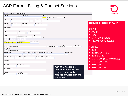## ASR Form – Billing & Contact Sections

| <b>BILLING</b> [Optional<br>Conditional]                                                                      | <b>FRONTIER</b>                             |
|---------------------------------------------------------------------------------------------------------------|---------------------------------------------|
| <b>BILLNM</b><br>SBILLNM<br>ACNA<br>TE<br><b>FUSF</b>                                                         |                                             |
| $\vert \textbf{v} \vert$<br>$\overline{\phantom{a}}$ --Select-- $\overline{\phantom{a}}$ E<br>Z <sub>TK</sub> |                                             |
| BILL_STR<br>BILL FL BILL RM<br>BILL CITY<br>EBP                                                               |                                             |
| BILL_STATE BILL_ZIP<br><b>BILLCON</b><br>BILLCON_TEL                                                          | <b>Required Fields on ACT=N</b>             |
|                                                                                                               |                                             |
| BILLCON EMAIL                                                                                                 |                                             |
|                                                                                                               | Billing:                                    |
| <b>VTA</b><br><b>VCVTA</b><br><b>TLE</b>                                                                      | • ACNA                                      |
| $-$ Select-- $\triangledown$<br>36                                                                            | • FUSF                                      |
| PNUM<br>PSD<br>IWBAN<br>EIAZTKTRAINING<br>$\overline{1}$                                                      |                                             |
| CONTACT [Optional<br>Conditional]                                                                             | • VTA (Contractual)                         |
| INIT<br>INITIATOR TEL<br>INIT FAX NO                                                                          | • PNUM (Contractual)                        |
| Jean Beurkens<br>9999999999                                                                                   |                                             |
| INIT EMAIL<br><b>DSGCON</b><br>DSGCON TEL                                                                     | DSG FAX NO                                  |
| jean.beurkens@ftr.com<br>Jean Beurkens<br>9999999999                                                          | Contact:                                    |
| DSG EMAIL<br>jean.beurkens@ftr.com                                                                            | $\cdot$ INIT                                |
| DSGCON STR<br>DSGCON STATE<br><b>DRC</b><br>FDRC<br>DSGCON_FL DSGCON_RM DSGCON_CITY                           | <b>INITIATOR TEL</b><br>$\bullet$           |
|                                                                                                               |                                             |
| DSGCON_ZIP<br>CB_TEL_NO<br>CBPC<br>MTCE_CONTACT<br>MTCE_TEL                                                   | <b>INIT EMAIL</b><br>$\bullet$              |
|                                                                                                               | <b>DSGCON (See field note)</b><br>$\bullet$ |
| MTCE EMAIL                                                                                                    | <b>DSGCON TEL</b><br>$\bullet$              |
|                                                                                                               |                                             |
| SITECON<br>SITECON_TEL                                                                                        | <b>IMPCON</b><br>$\bullet$                  |
| <b>DSGCON Field Note:</b><br>SITECON EMAIL                                                                    | <b>IMPCON TEL</b><br>٠                      |
| <b>First and Last Name are</b>                                                                                |                                             |
| required. A space is<br>IMPCON<br>IMPCON TEL                                                                  |                                             |
| 9999999999<br>Jean Beurkens<br>required between first and                                                     |                                             |
| last name.                                                                                                    |                                             |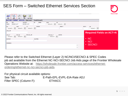### SES Form – Switched Ethernet Services Section

| <b>FRONTIER</b>                 |                                                         |                                                                           |              | <b>NAI</b><br><b>GEN. INFO</b> | <b>EVC</b><br><b>SES</b>                                                           | ASR                                 |
|---------------------------------|---------------------------------------------------------|---------------------------------------------------------------------------|--------------|--------------------------------|------------------------------------------------------------------------------------|-------------------------------------|
|                                 |                                                         |                                                                           | Conditional] |                                | SWITCHED ETHERNET SERVICES [Optional                                               |                                     |
|                                 |                                                         | <b>BUM</b><br>ВI<br>$-$ Select-- $\boxed{\vee}$ --Select-- $\boxed{\vee}$ | SR<br>SBDW   | SECNCI<br>04CX9.1CT            | NCI<br>04LN9.1CT                                                                   | $\overline{\phantom{a}}$ NC<br>KQA5 |
|                                 | <b>MSFS</b><br>SM                                       | PROFI                                                                     | PROFE        | CI                             | HVP                                                                                | ES                                  |
|                                 | $\left  -5 \right $ elect-- $\left  \mathbf{v} \right $ |                                                                           |              |                                | $\frac{13}{100}$ --Select-- $\sqrt{2}$ --Select-- $\sqrt{2}$ --Select-- $\sqrt{2}$ |                                     |
| <b>Required Fields on ACT=N</b> |                                                         |                                                                           |              |                                |                                                                                    | LAG_ID                              |
|                                 |                                                         | WACD1<br>MCLAG P                                                          |              | MCLAG_ID                       | MCLAG                                                                              | LAG_P                               |
|                                 |                                                         | $-5elect-vert$                                                            |              |                                | $-$ Select-- $\boxed{\vee}$ --Select-- $\boxed{\vee}$                              |                                     |
|                                 | $\cdot$ NC                                              |                                                                           | DIVPON       |                                |                                                                                    | DIVCKT                              |
|                                 | • NCI                                                   |                                                                           |              |                                |                                                                                    |                                     |
|                                 |                                                         |                                                                           |              |                                |                                                                                    | REMARKS                             |
|                                 | <b>SECNCI</b><br>$\bullet$ .<br>∧<br>$\checkmark$       |                                                                           |              |                                |                                                                                    |                                     |

Please refer to the Switched Ethernet (Layer 2) NC/NCI/SECNCI & SPEC Codes job aid available from the Ethernet NC-NCI-SECNCI Job Aids page of the Frontier Wholesale [Operations Website at: https://wholesale.frontier.com/access-services/ethernet](https://wholesale.frontier.com/access-services/ethernet-ordering/ethernet-nc-nci-secnci-job-aids)ordering/ethernet-nc-nci-secnci-job-aids.

For physical circuit available options: See Tab: E-Path-EPL-EVPL-EIA-Rate ADJ Filter SPEC (Column F): ETHACC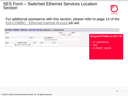#### SES Form – Switched Ethernet Services Location Section



• For additional assistance with this section, please refer to page 14 of the EIA COMBO - [Ethernet Internet Access](https://wholesale.frontier.com/-/media/WholesaleDocs/eia-combo---ethernet-internet-access.ashx) job aid.

|      |   |                 |      |            | SWITCHED ETHERNET SERVICES LOCATION SECTION [Optional   Conditional] |     |                                   |      |                                 |
|------|---|-----------------|------|------------|----------------------------------------------------------------------|-----|-----------------------------------|------|---------------------------------|
| CCEA |   |                 |      |            |                                                                      |     | GETO                              | GBTN |                                 |
|      |   |                 |      |            |                                                                      |     | $-$ Select-- $\boxed{\mathsf{v}}$ |      | <b>Required Fields on ACT=N</b> |
| GCON |   |                 | GTEL |            | IP ADDRESS                                                           |     |                                   |      |                                 |
|      |   |                 |      |            | 111.111.111.28                                                       |     |                                   |      |                                 |
| IPAI |   | SUBNET MASK     |      | ESP<br>PTV |                                                                      | 0TC |                                   |      | • IP ADDRESS                    |
| 4    | ◡ | 255.255.255.240 |      |            |                                                                      |     |                                   |      | $\cdot$ IPAI                    |
|      |   |                 |      |            |                                                                      |     |                                   |      |                                 |
|      |   |                 |      |            |                                                                      |     |                                   |      | • SUBNET MASK                   |
|      |   |                 |      |            |                                                                      |     |                                   |      |                                 |
|      |   |                 |      |            |                                                                      |     |                                   |      |                                 |
|      |   |                 |      |            |                                                                      |     |                                   |      |                                 |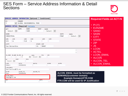#### SES Form – Service Address Information & Detail **Sections**



| SERVICE ADDRESS INFORMATION [Optional                                                                                                                                                                                                   | Conditional]                                                                                    | <b>Required Fields on ACT=N</b>                                                                                             |  |  |
|-----------------------------------------------------------------------------------------------------------------------------------------------------------------------------------------------------------------------------------------|-------------------------------------------------------------------------------------------------|-----------------------------------------------------------------------------------------------------------------------------|--|--|
| <b>EUNAME</b><br>PI<br>GLOBAL ENVIRONMENTAL PROD<br>Y<br>$\vee$                                                                                                                                                                         |                                                                                                 |                                                                                                                             |  |  |
| ADDRESS DETAIL [Required] Validate                                                                                                                                                                                                      |                                                                                                 | $\cdot$ PI (Y)                                                                                                              |  |  |
| SAPR<br>SANO<br>AFT<br>$-$ -Select-- $\vert \mathsf{v} \vert$<br>5405<br>SASN<br>INDUSTRIAL<br>LV1<br>LD <sub>2</sub><br>LV <sub>2</sub><br>LD1<br>$\mathbf{1}$<br><b>STE</b><br>A<br><b>FLR</b><br>CITY<br>San Bernardino<br><b>CA</b> | SASF<br>SASD<br>$-$ -Select-- $ v $<br>SATH<br>SASS<br>PKWY<br>LV3<br>LD3<br>STATE ZIP<br>90407 | <b>EUNAME</b><br>$\bullet$<br>· SANO<br>• SASN<br>$-$ -Select $-$ V<br>$\cdot$ CITY<br>• STATE<br>$\cdot$ ZIP<br>$\cdot$ JS |  |  |
| JK_CODE JK_NUM JK_POS_JS<br>SMJK<br>$\vert \mathbf{v} \vert$<br>$-$ Select-- $\vert \mathbf{v} \vert$<br>D<br>SPOT<br>ICOL<br>SI<br>$-$ -Select-- $\vert \mathbf{v} \vert$                                                              | PCA<br>OFC                                                                                      | • LCON<br>∧<br>• ACTEL<br>$\cup$<br>• LCON EMAIL<br>• ALCON<br>• ALCON TEL                                                  |  |  |
| LCON<br>ACTEL<br>AACTEL<br>JEAN B<br>9999999999                                                                                                                                                                                         | ACPGN<br><b>ACPPN</b>                                                                           | • ALCON EMAIL                                                                                                               |  |  |
| LCON EMAIL<br>jean.beurkens@FTR.com<br>ALCON<br>AALCON TEL<br>ALCON TEL<br>9999999999<br>Jean                                                                                                                                           |                                                                                                 | <b>ALCON_EMAIL must be formatted as</b>                                                                                     |  |  |
| DOMAIN@(customer domain)<br>ALCON EMAIL<br>DOMAIN@FTR.COM<br><b>Example Domain@FTR.COM</b><br><b>WKTEL</b><br>ACC<br>FTR.COM will be used for IP Justification                                                                          |                                                                                                 |                                                                                                                             |  |  |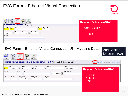### EVC Form – Ethernet Virtual Connection



| <u>alla</u><br>砻<br>$\perp$ $\cdot$<br>ASR<br><b>NAI</b><br><b>SES</b><br><b>EVC</b><br><b>GEN. INFO</b>                                                                                                                                                                                                          | <b>Required Fields on ACT=N</b>                           |
|-------------------------------------------------------------------------------------------------------------------------------------------------------------------------------------------------------------------------------------------------------------------------------------------------------------------|-----------------------------------------------------------|
| <b>ETHERNET VIRTUAL CONNECTION [Required]</b><br>EVCNUM NC<br>EVCID<br><b>NUT</b><br>OAM_IND<br>$-$ Select-- $\triangledown$<br>0001 VLP-<br>02<br>SVP<br><b>MSFS</b><br>CEV_P CEV_CP<br>--Select-- $\overline{ \mathbf{v} }$ --Select-- $\overline{ \mathbf{v} }$<br>$-$ Select-- $\boxed{\mathsf{v}}$<br>EVCCKR | <u> • EVCNUM (0001)</u><br>$\cdot$ NC<br>$\cdot$ NUT (02) |
| EPS                                                                                                                                                                                                                                                                                                               |                                                           |

#### EVC Form – Ethernet Virtual Connection UNI Mapping Detail Add Section

| $\mathbb{R}$<br>ASR<br><b>SES</b><br><b>EVC</b><br><b>NAI</b><br><b>GEN. INFO</b>                                                                                                           |                                                                                                                                    |                             | for UREF (02)                                                                  |
|---------------------------------------------------------------------------------------------------------------------------------------------------------------------------------------------|------------------------------------------------------------------------------------------------------------------------------------|-----------------------------|--------------------------------------------------------------------------------|
| ETHERNET VIRTUAL CONNECTION UNI MAPPING DETAIL [ 1 ] [Optional   Conditional]                                                                                                               |                                                                                                                                    |                             | Section(s) Remove Section<br>Add: S                                            |
| UREF<br>EI<br>AUNT<br>$-5elect- \nabla $ A<br>$\overline{\mathsf{v}}$<br>01<br>N<br>BUM_FD RUID<br>EVCSP<br><b>OTC</b><br>ASN<br>VPN ID<br>VPN_ACT<br>$-$ Select-- $\vert \mathbf{v} \vert$ | RPON<br><b>UACT</b><br>$\vert\mathord{\sim}\vert$<br>RL<br>$\left  -5 \text{elect} - \sqrt{\sqrt{\frac{1}{2}} } \right $<br>VPN NM | NCI<br>02VLN.UNT<br>EVCMPID | <b>Required Fields on ACT=N</b><br>$\cdot$ UREF (01)<br>• AUNT $(A)$<br>• UACT |
|                                                                                                                                                                                             |                                                                                                                                    |                             | $\cdot$ NCI<br>$\Box$                                                          |

© 2022 Frontier Communications Parent, Inc. All rights reserved.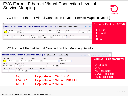#### EVC Form – Ethernet Virtual Connection Level of Service Mapping



#### EVC Form – Ethernet Virtual Connection Level of Service Mapping Detail [1]



#### EVC Form – Ethernet Virtual Connection UNI Mapping Detail[2]

|                                                                                                                            | ETHERNET VIRTUAL CONNECTION UNI MAPPING DETAIL [ 2 ] [Optional   Conditional] | Add: Copy: $1$ section(s) Remove Section(s) : $1$ |
|----------------------------------------------------------------------------------------------------------------------------|-------------------------------------------------------------------------------|---------------------------------------------------|
| UREF EI<br>AUNT<br><b>UACT</b><br>$-$ Select-- $\boxed{\vee}$ --Select-- $\boxed{\vee}$ N                                  | RPON<br>NCI<br>$\vert \vee \vert$<br>02VLN.V                                  | <b>Required Fields on ACT=N</b>                   |
| BUM FD RUID<br>EVCSP<br>NEWINNICLLI<br><b>NEW</b><br>∣отс<br>ASN<br>VPN ID<br>VPN ACT<br>$-$ Select-- $\boxed{\mathsf{v}}$ | EVCMPID<br>RL<br>$-$ Select $ \vert \mathbf{v} \vert$<br>VPN NM               | $\cdot$ UREF (02)<br>• UACT<br>• NCI (see note)   |
| NCI:<br>EVCSP:<br>RUID:                                                                                                    | Populate with '02VLN.V'<br>Populate with 'NEWINNICLLI'<br>Populate with 'NEW' | • EVCSP (see note)<br>• RUID (see note)           |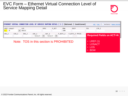#### EVC Form – Ethernet Virtual Connection Level of Service Mapping Detail



• LOS • BDW

|                               |        |              |                                                                                         |      |       |                   | ETHERNET VIRTUAL CONNECTION LEVEL OF SERVICE MAPPING DETAIL [ 1 ] [Optional   Conditional] |                  | Add : Copy : 1   Section(s) Remove Section |  |
|-------------------------------|--------|--------------|-----------------------------------------------------------------------------------------|------|-------|-------------------|--------------------------------------------------------------------------------------------|------------------|--------------------------------------------|--|
| LREF LOSACT<br>$\blacksquare$ | $\vee$ | LOS<br>BASIC |                                                                                         | SPEC | P BIT | BDW<br><b>50M</b> | <b>DSCP</b>                                                                                | T <sub>0</sub> S | CIR_I                                      |  |
| $CBS_I$                       | EIR I  | EBS I        | CMI_I BCF_I P_BITC_I<br>--Select-- $\boxed{\mathsf{v}}$ --Select-- $\boxed{\mathsf{v}}$ |      |       |                   | P BITC E PPCOS                                                                             |                  | <b>Required Fields on ACT=N</b>            |  |
|                               |        |              | Note: TOS in this section is PROHIBITED                                                 |      |       |                   |                                                                                            |                  | $\cdot$ LREF (1)                           |  |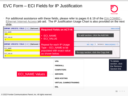## EVC Form – ECI Fields for IP Justification

• [For additional assistance with these fields, please refer to pages 6 & 19 of the EIA COMBO -](https://wholesale.frontier.com/-/media/WholesaleDocs/eia-combo---ethernet-internet-access.ashx) Ethernet Internet Access job aid. The IP Justification Usage Chart is also provided on the next slide.

| COMPANY SPECIFIC FIELD [ 1 ] [Optional | <b>Required Fields on ACT=N</b> | Remove Section                                  |
|----------------------------------------|---------------------------------|-------------------------------------------------|
| ECI NAME                               |                                 |                                                 |
| <b>VPN</b>                             | <b>ECI NAME</b>                 | To add section, click the Add link              |
| ECI_VALUE                              | <b>ECI_VALUE</b><br>$\bullet$   |                                                 |
|                                        |                                 |                                                 |
| COMPANY SPECIFIC FIELD [ 2 ] [Optional | Repeat for each IP Usage        | Add: Copy: $1$ Section(s) Remove Section(s) : 1 |
| ECI NAME                               | $Type - ECI_NAME$ to be         |                                                 |
| FIREWALL                               | populated with exact value      |                                                 |
| ECI VALUE                              | as shown below.                 | To copy section, click the Copy link            |
|                                        |                                 |                                                 |
|                                        |                                 |                                                 |



**FRONTIER**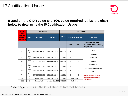

#### **Based on the CIDR value and TOS value required, utilize the chart below to determine the IP Justification Usage**

| <b>CIDR</b><br>(Not                    |             | <b>SES FORM</b> |                   | <b>EVC FORM</b> |                        |                |                                                                  |  |
|----------------------------------------|-------------|-----------------|-------------------|-----------------|------------------------|----------------|------------------------------------------------------------------|--|
| used on<br>the VFO<br><b>Request</b> ) | <b>IPAI</b> | <b>SUBNET</b>   | <b>IP ADDRESS</b> | <b>TOS</b>      | <b>IP USAGE VALUES</b> |                | <b>ECI NAMES</b>                                                 |  |
|                                        |             |                 |                   |                 | <b>MIN</b>             | <b>MAX</b>     | <b>Customer will only</b><br>populate what is being<br>requested |  |
| /28                                    | 4 or<br>M   | 255.255.255.240 | 111.111.111.28    | 000000          | $\overline{7}$         | 14             | <b>VPN</b><br><b>FIREWALL</b>                                    |  |
| /28                                    | 4 or<br>M   | 255.255.255.240 | 111.111.111.28    | 111111          | 6                      | 13             | <b>COMPUTERS</b>                                                 |  |
| /29                                    | 4 or<br>M   | 255.255.255.248 | 111.111.111.29    | 000000          | 3                      | 6              | <b>SERVERS</b>                                                   |  |
| /29                                    | 4 or<br>M   | 255.255.255.248 | 111.111.111.29    | 111111          | $\overline{2}$         | 5              | <b>WEB HOSTING</b><br>VIRTUAL GAMING/TRAINING                    |  |
| /30                                    | 4 or<br>M   | 255.255.255.252 | 111.111.111.30    | 000000          | $\mathbf{1}$           | $\overline{2}$ | <b>DSL</b>                                                       |  |
| /30                                    | 4 or<br>M   | 255.255.255.252 | 111.111.111.30    | 111111          | $\mathbf{1}$           | $\mathbf{1}$   | These values must be                                             |  |
| /64                                    | 6           | Prohibited      | 111.111.111.64    | 111111          | Unlimited              |                | populated exactly as<br>listed here                              |  |
| /128                                   | 6           | Prohibited      | 111.111.111.128   | 000000          |                        | Unlimited      |                                                                  |  |

#### See page 6: EIA COMBO - [Ethernet Internet Access](https://wholesale.frontier.com/-/media/WholesaleDocs/eia-combo---ethernet-internet-access.ashx)